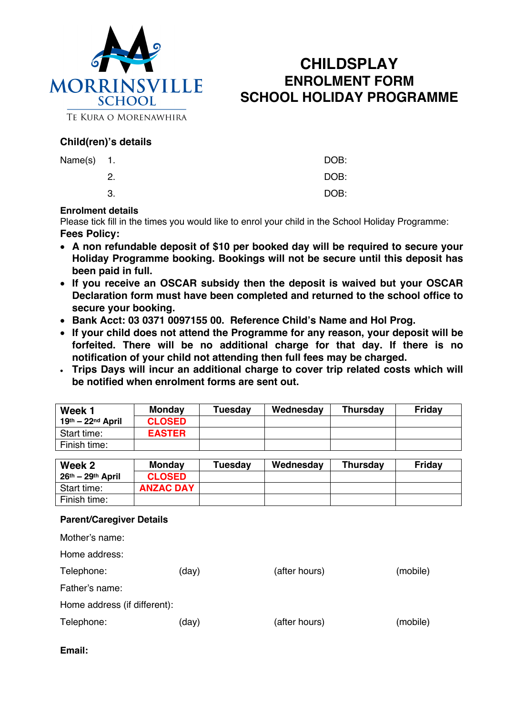

# **CHILDSPLAY ENROLMENT FORM SCHOOL HOLIDAY PROGRAMME**

TE KURA O MORENAWHIRA

# **Child(ren)'s details**

| Name(s) 1. |     | DOB: |
|------------|-----|------|
|            | -2. | DOB: |
|            | З.  | DOB: |

## **Enrolment details**

Please tick fill in the times you would like to enrol your child in the School Holiday Programme: **Fees Policy:**

- **A non refundable deposit of \$10 per booked day will be required to secure your Holiday Programme booking. Bookings will not be secure until this deposit has been paid in full.**
- **If you receive an OSCAR subsidy then the deposit is waived but your OSCAR Declaration form must have been completed and returned to the school office to secure your booking.**
- **Bank Acct: 03 0371 0097155 00. Reference Child's Name and Hol Prog.**
- **If your child does not attend the Programme for any reason, your deposit will be forfeited. There will be no additional charge for that day. If there is no notification of your child not attending then full fees may be charged.**
- **Trips Days will incur an additional charge to cover trip related costs which will be notified when enrolment forms are sent out.**

| Week 1              | Monday        | <b>Tuesday</b> | Wednesday | <b>Thursday</b> | <b>Friday</b> |
|---------------------|---------------|----------------|-----------|-----------------|---------------|
| $19th - 22nd$ April | <b>CLOSED</b> |                |           |                 |               |
| Start time:         | <b>EASTER</b> |                |           |                 |               |
| Finish time:        |               |                |           |                 |               |

| Week 2              | Mondav           | <b>Tuesday</b> | Wednesday | <b>Thursday</b> | <b>Friday</b> |
|---------------------|------------------|----------------|-----------|-----------------|---------------|
| $26th - 29th$ April | <b>CLOSED</b>    |                |           |                 |               |
| Start time:         | <b>ANZAC DAY</b> |                |           |                 |               |
| Finish time:        |                  |                |           |                 |               |

# **Parent/Caregiver Details**

| Mother's name:               |       |               |          |  |
|------------------------------|-------|---------------|----------|--|
| Home address:                |       |               |          |  |
| Telephone:                   | (day) | (after hours) | (mobile) |  |
| Father's name:               |       |               |          |  |
| Home address (if different): |       |               |          |  |
| Telephone:                   | (day) | (after hours) | (mobile) |  |

# **Email:**